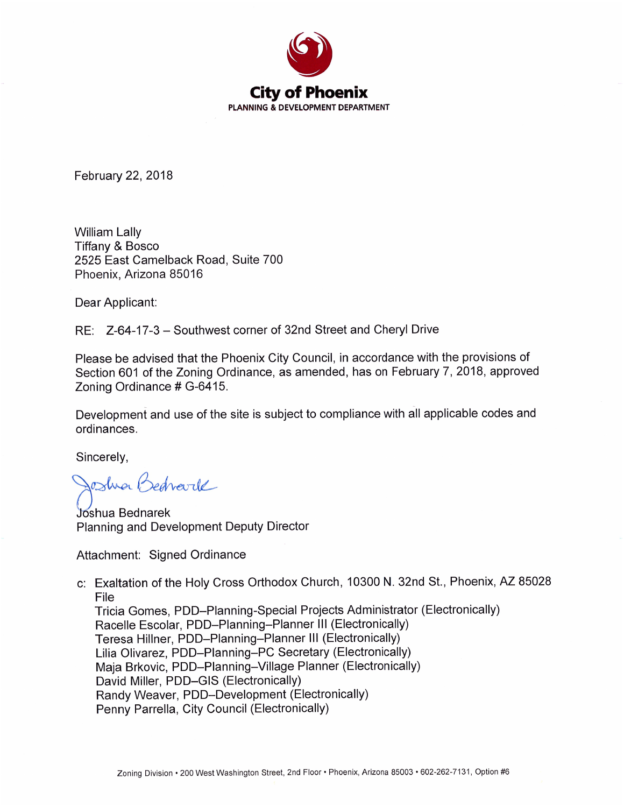

February 22, 2018

**William Lally Tiffany & Bosco** 2525 East Camelback Road, Suite 700 Phoenix, Arizona 85016

Dear Applicant:

RE: Z-64-17-3 – Southwest corner of 32nd Street and Cheryl Drive

Please be advised that the Phoenix City Council, in accordance with the provisions of Section 601 of the Zoning Ordinance, as amended, has on February 7, 2018, approved Zoning Ordinance # G-6415.

Development and use of the site is subject to compliance with all applicable codes and ordinances.

Sincerely,

Josha Bedrarde

Joshua Bednarek Planning and Development Deputy Director

Attachment: Signed Ordinance

c: Exaltation of the Holy Cross Orthodox Church, 10300 N. 32nd St., Phoenix, AZ 85028 File

Tricia Gomes, PDD-Planning-Special Projects Administrator (Electronically) Racelle Escolar, PDD-Planning-Planner III (Electronically) Teresa Hillner, PDD-Planning-Planner III (Electronically) Lilia Olivarez, PDD-Planning-PC Secretary (Electronically) Maja Brkovic, PDD-Planning-Village Planner (Electronically) David Miller, PDD-GIS (Electronically) Randy Weaver, PDD-Development (Electronically) Penny Parrella, City Council (Electronically)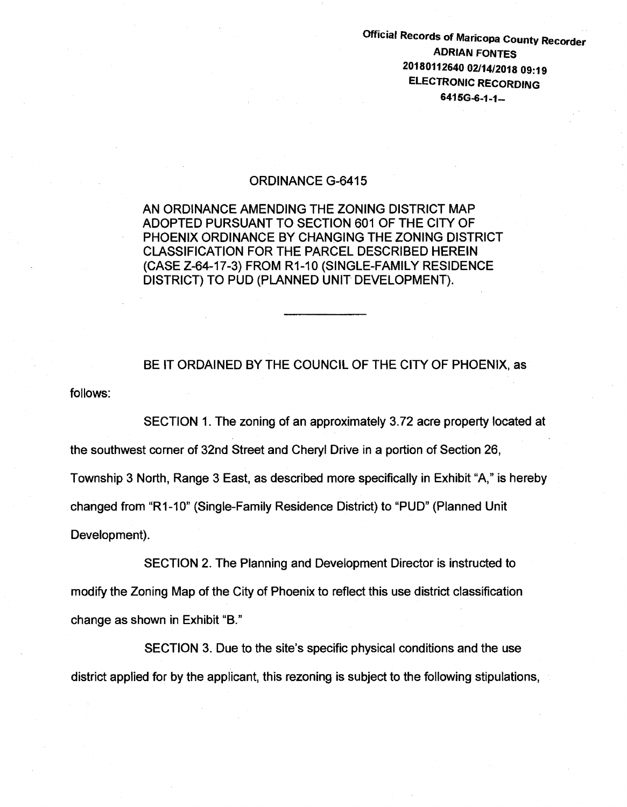Official Records of Maricopa County Recorder ADRIAN FONTES 20180112640 02/14/2018 09:19 ELECTRONIC RECORDING 6415G-6-1-1-

## ORDINANCE G-6415

AN ORDINANCE AMENDING THE ZONING DISTRICT MAP ADOPTED PURSUANT TO SECTION 601 OF THE CITY OF PHOENIX ORDINANCE BY CHANGING THE ZONING DISTRICT CLASSIFICATION FOR THE PARCEL DESCRIBED HEREIN (CASE Z-64-17-3) FROM R1-10 (SINGLE-FAMILY RESIDENCE DISTRICT) TO PUD (PLANNED UNIT DEVELOPMENT).

follows: BE IT ORDAINED BY THE COUNCIL OF THE CITY OF PHOENIX, as

SECTION 1. The zoning of an approximately 3. 72 acre property located at the southwest corner of 32nd Street and Cheryl Drive in a portion of Section 26, Township 3 North, Range 3 East, as described more specifically in Exhibit "A," is hereby changed from "R1-10" (Single-Family Residence District) to "PUD" (Planned Unit Development).

SECTION 2. The Planning and Development Director is instructed to modify the Zoning Map of the City of Phoenix to reflect this use district classification change as shown in Exhibit "B."

SECTION 3. Due to the site's specific physical conditions and the use district applied for by the applicant, this rezoning is subject to the following stipulations,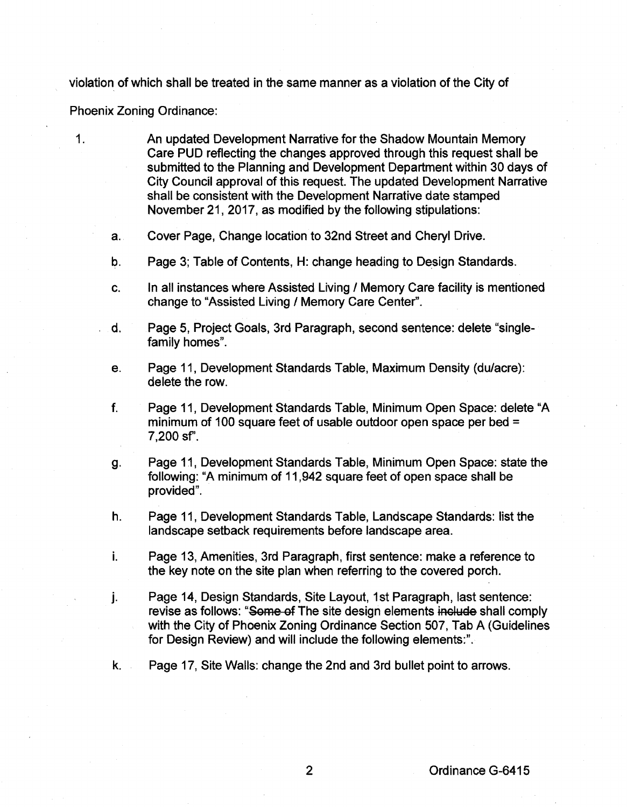violation of which shall be treated in the same manner as a violation of the City of

Phoenix Zoning Ordinance:

1.

- An updated Development Narrative for the Shadow Mountain Memory Care PUD reflecting the changes approved through this request shall be submitted to the Planning and Development Department within 30 days of City Council approval of this request. The updated Development Narrative shall be consistent with the Development Narrative date stamped November 21, 2017, as modified by the following stipulations:
- a. Cover Page, Change location to 32nd Street and Cheryl Drive.
- b. Page 3; Table of Contents, H: change heading to Design Standards.
- c. In all instances where Assisted Living / Memory Care facility is mentioned change to "Assisted Living / Memory Care Center".
- d. Page 5, Project Goals, 3rd Paragraph, second sentence: delete "singlefamily homes".
- e. Page 11, Development Standards Table, Maximum Density (dulacre): delete the row.
- f. Page 11, Development Standards Table, Minimum Open Space: delete "A minimum of 100 square feet of usable outdoor open space per bed = 7,200 sf'.
- g. Page 11, Development Standards Table, Minimum Open Space: state the following: "A minimum of 11 ,942 square feet of open space shall be provided".
- h. Page 11, Development Standards Table, Landscape Standards: list the landscape setback requirements before landscape area.
- i. Page 13, Amenities, 3rd Paragraph, first sentence: make a reference to the key note on the site plan when referring to the covered porch.
- j. Page 14, Design Standards, Site Layout, 1st Paragraph, last sentence: revise as follows: "Some of The site design elements include shall comply with the City of Phoenix Zoning Ordinance Section 507, Tab A (Guidelines for Design Review) and will include the following elements:".
- k. Page 17, Site Walls: change the 2nd and 3rd bullet point to arrows.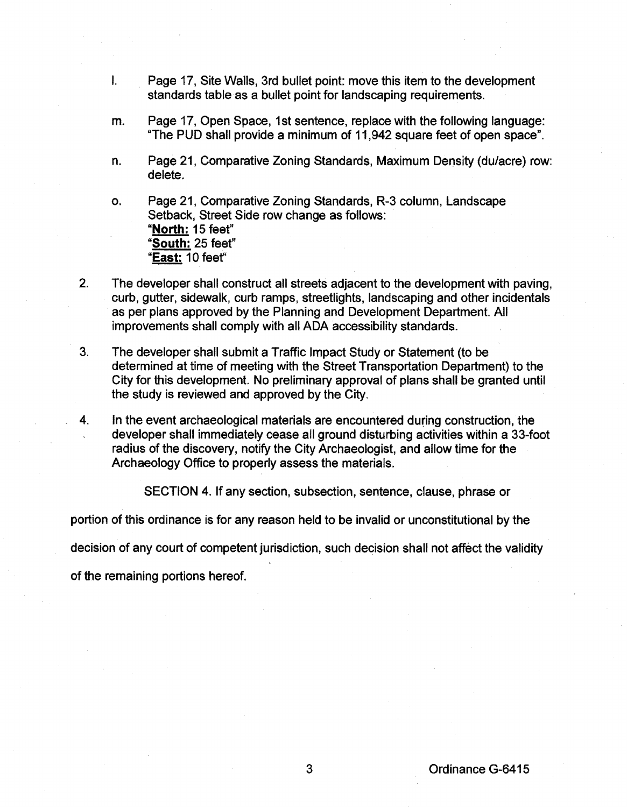- I. Page 17, Site Walls, 3rd bullet point: move this item to the development standards table as a bullet point for landscaping requirements.
- m. Page 17, Open Space, 1st sentence, replace with the following language: "The PUD shall provide a minimum of 11,942 square feet of open space".
- n. Page 21, Comparative Zoning Standards, Maximum Density (du/acre) row: delete.

o. Page 21, Comparative Zoning Standards, R-3 column, Landscape Setback, Street Side row change as follows: **"North:** 15 feet" **"South:** 25 feet" **"East: 1** 0 feef'

- 2. The developer shall construct all streets adjacent to the development with paving, curb, gutter, sidewalk, curb ramps, streetlights, landscaping and other incidentals as per plans approved by the Planning and Development Department. All improvements shall comply with all ADA accessibility standards.
- 3. The developer shall submit a Traffic Impact Study or Statement (to be determined at time of meeting with the Street Transportation Department) to the City for this development. No preliminary approval of plans shall be granted until the study is reviewed and approved by the City.
- 4. In the event archaeological materials are encountered during construction, the developer shall immediately cease all ground disturbing activities within a 33-foot radius of the discovery, notify the City Archaeologist, and allow time for the Archaeology Office to properly assess the materials.

SECTION 4. If any section, subsection, sentence, clause, phrase or

portion of this ordinance is for any reason held to be invalid or unconstitutional by the

decision of any court of competent jurisdiction, such decision shall not affect the validity

of the remaining portions hereof.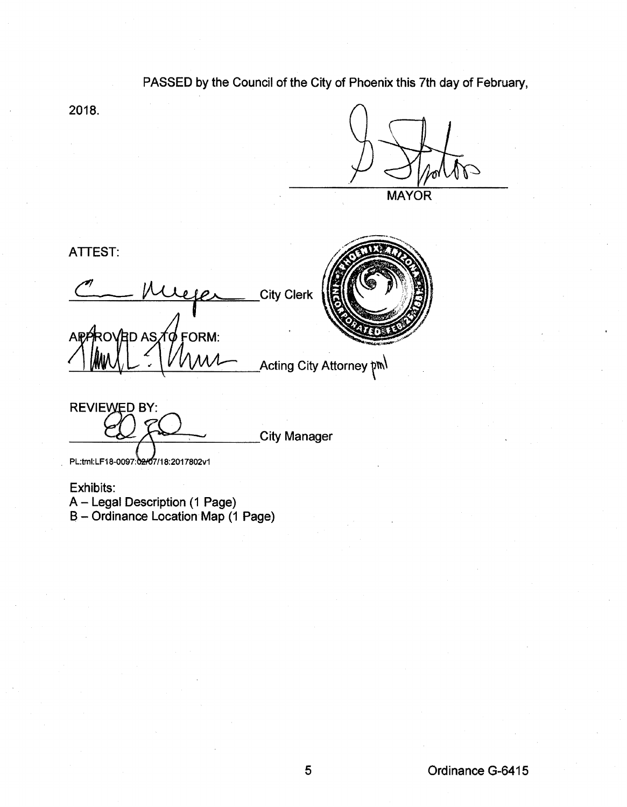## PASSED by the Council of the City of Phoenix this 7th day of February,

2018.

**MAYOR** 

ATTEST:

**City Clerk** ROVED AS TO FORM: **AP Acting City Attorney pml** 



**REVIEWED BY:** 

City Manager

PL:tml:LF18-0097:02/07/18:2017802v1

Exhibits: A- Legal Description (1 Page) **B-Ordinance Location Map (1 Page)**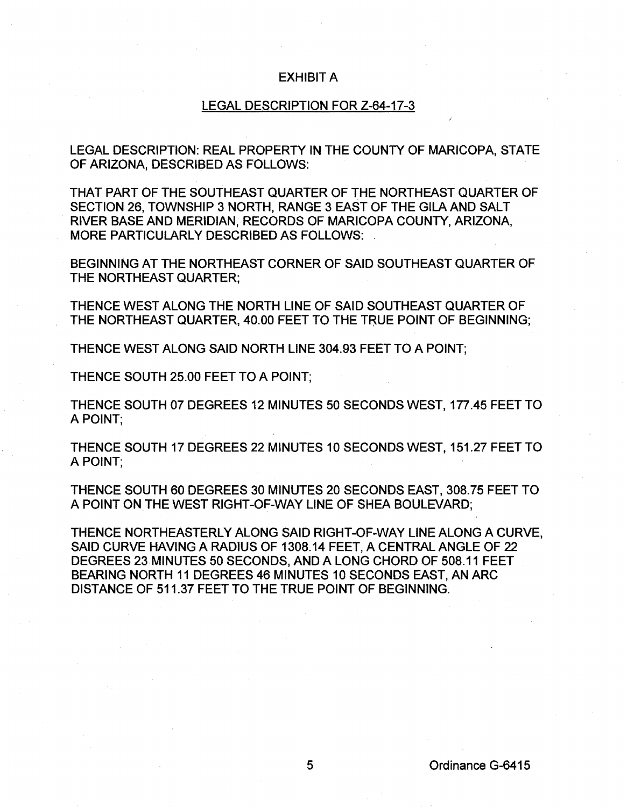## EXHIBIT A

## LEGAL DESCRIPTION FOR Z-64-17-3

LEGAL DESCRIPTION: REAL PROPERTY IN THE COUNTY OF MARICOPA, STATE OF ARIZONA, DESCRIBED AS FOLLOWS:

THAT PART OF THE SOUTHEAST QUARTER OF THE NORTHEAST QUARTER OF SECTION 26, TOWNSHIP 3 NORTH, RANGE 3 EAST OF THE GILA AND SALT RIVER BASE AND MERIDIAN, RECORDS OF MARICOPA COUNTY, ARIZONA, MORE PARTICULARLY DESCRIBED AS FOLLOWS:

BEGINNING AT THE NORTHEAST CORNER OF SAID SOUTHEAST QUARTER OF THE NORTHEAST QUARTER;

THENCE WEST ALONG THE NORTH LINE OF SAID SOUTHEAST QUARTER OF THE NORTHEAST QUARTER, 40.00 FEET TO THE TRUE POINT OF BEGINNING;

THENCE WEST ALONG SAID NORTH LINE 304.93 FEET TO A POINT;

THENCE SOUTH 25.00 FEET TO A POINT;

THENCE SOUTH 07 DEGREES 12 MINUTES 50 SECONDS WEST, 177.45 FEET TO A POINT;

THENCE SOUTH 17 DEGREES 22 MINUTES 10 SECONDS WEST, 151.27 FEET TO A POINT;

THENCE SOUTH 60 DEGREES 30 MINUTES 20 SECONDS EAST, 308.75 FEET TO A POINT ON THE WEST RIGHT-OF-WAY LINE OF SHEA BOULEVARD;

THENCE NORTHEASTERLY ALONG SAID RIGHT-OF-WAY LINE ALONG A CURVE, SAID CURVE HAVING A RADIUS OF 1308.14 FEET, A CENTRAL ANGLE OF 22 DEGREES 23 MINUTES 50 SECONDS, AND A LONG CHORD OF 508.11 FEET BEARING NORTH 11 DEGREES 46 MINUTES 10 SECONDS EAST, AN ARC DISTANCE OF 511.37 FEET TO THE TRUE POINT OF BEGINNING.